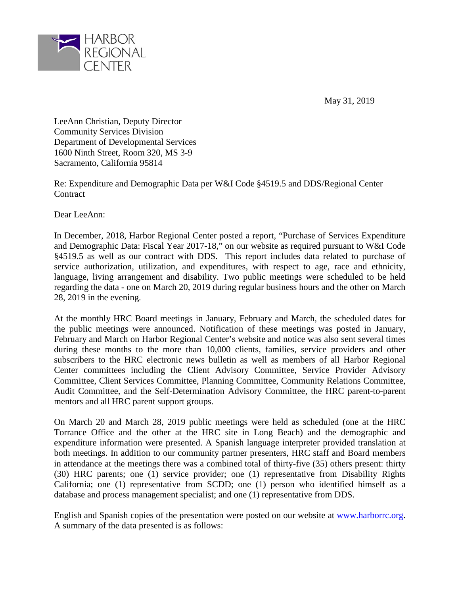

May 31, 2019

LeeAnn Christian, Deputy Director Community Services Division Department of Developmental Services 1600 Ninth Street, Room 320, MS 3-9 Sacramento, California 95814

Re: Expenditure and Demographic Data per W&I Code §4519.5 and DDS/Regional Center **Contract** 

Dear LeeAnn:

In December, 2018, Harbor Regional Center posted a report, "Purchase of Services Expenditure and Demographic Data: Fiscal Year 2017-18," on our website as required pursuant to W&I Code §4519.5 as well as our contract with DDS. This report includes data related to purchase of service authorization, utilization, and expenditures, with respect to age, race and ethnicity, language, living arrangement and disability. Two public meetings were scheduled to be held regarding the data - one on March 20, 2019 during regular business hours and the other on March 28, 2019 in the evening.

At the monthly HRC Board meetings in January, February and March, the scheduled dates for the public meetings were announced. Notification of these meetings was posted in January, February and March on Harbor Regional Center's website and notice was also sent several times during these months to the more than 10,000 clients, families, service providers and other subscribers to the HRC electronic news bulletin as well as members of all Harbor Regional Center committees including the Client Advisory Committee, Service Provider Advisory Committee, Client Services Committee, Planning Committee, Community Relations Committee, Audit Committee, and the Self-Determination Advisory Committee, the HRC parent-to-parent mentors and all HRC parent support groups.

On March 20 and March 28, 2019 public meetings were held as scheduled (one at the HRC Torrance Office and the other at the HRC site in Long Beach) and the demographic and expenditure information were presented. A Spanish language interpreter provided translation at both meetings. In addition to our community partner presenters, HRC staff and Board members in attendance at the meetings there was a combined total of thirty-five (35) others present: thirty (30) HRC parents; one (1) service provider; one (1) representative from Disability Rights California; one (1) representative from SCDD; one (1) person who identified himself as a database and process management specialist; and one (1) representative from DDS.

English and Spanish copies of the presentation were posted on our website at www.harborrc.org. A summary of the data presented is as follows: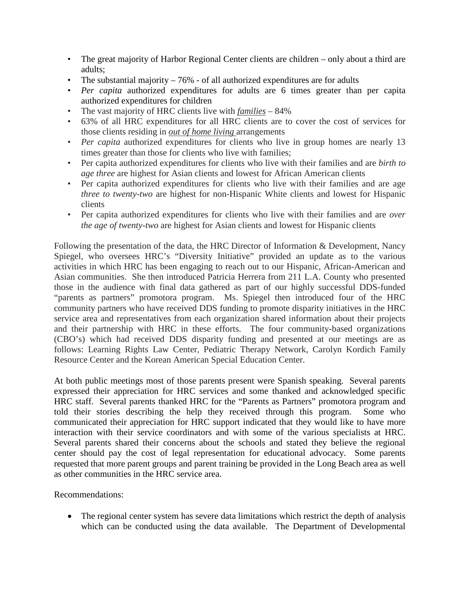- The great majority of Harbor Regional Center clients are children only about a third are adults;
- The substantial majority  $-76\%$  of all authorized expenditures are for adults
- *Per capita* authorized expenditures for adults are 6 times greater than per capita authorized expenditures for children
- The vast majority of HRC clients live with *families* 84%
- 63% of all HRC expenditures for all HRC clients are to cover the cost of services for those clients residing in *out of home living* arrangements
- *Per capita* authorized expenditures for clients who live in group homes are nearly 13 times greater than those for clients who live with families;
- Per capita authorized expenditures for clients who live with their families and are *birth to age three* are highest for Asian clients and lowest for African American clients
- Per capita authorized expenditures for clients who live with their families and are age *three to twenty-two* are highest for non-Hispanic White clients and lowest for Hispanic clients
- Per capita authorized expenditures for clients who live with their families and are *over the age of twenty-two* are highest for Asian clients and lowest for Hispanic clients

Following the presentation of the data, the HRC Director of Information & Development, Nancy Spiegel, who oversees HRC's "Diversity Initiative" provided an update as to the various activities in which HRC has been engaging to reach out to our Hispanic, African-American and Asian communities. She then introduced Patricia Herrera from 211 L.A. County who presented those in the audience with final data gathered as part of our highly successful DDS-funded "parents as partners" promotora program. Ms. Spiegel then introduced four of the HRC community partners who have received DDS funding to promote disparity initiatives in the HRC service area and representatives from each organization shared information about their projects and their partnership with HRC in these efforts. The four community-based organizations (CBO's) which had received DDS disparity funding and presented at our meetings are as follows: Learning Rights Law Center, Pediatric Therapy Network, Carolyn Kordich Family Resource Center and the Korean American Special Education Center.

At both public meetings most of those parents present were Spanish speaking. Several parents expressed their appreciation for HRC services and some thanked and acknowledged specific HRC staff. Several parents thanked HRC for the "Parents as Partners" promotora program and told their stories describing the help they received through this program. Some who communicated their appreciation for HRC support indicated that they would like to have more interaction with their service coordinators and with some of the various specialists at HRC. Several parents shared their concerns about the schools and stated they believe the regional center should pay the cost of legal representation for educational advocacy. Some parents requested that more parent groups and parent training be provided in the Long Beach area as well as other communities in the HRC service area.

Recommendations:

• The regional center system has severe data limitations which restrict the depth of analysis which can be conducted using the data available. The Department of Developmental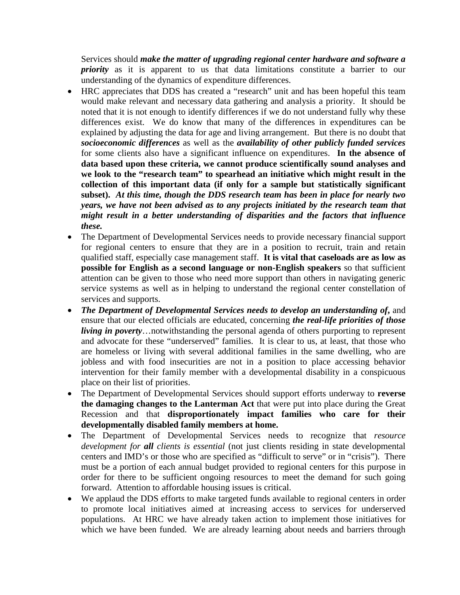Services should *make the matter of upgrading regional center hardware and software a priority* as it is apparent to us that data limitations constitute a barrier to our understanding of the dynamics of expenditure differences.

- HRC appreciates that DDS has created a "research" unit and has been hopeful this team would make relevant and necessary data gathering and analysis a priority. It should be noted that it is not enough to identify differences if we do not understand fully why these differences exist. We do know that many of the differences in expenditures can be explained by adjusting the data for age and living arrangement. But there is no doubt that *socioeconomic differences* as well as the *availability of other publicly funded services* for some clients also have a significant influence on expenditures. **In the absence of data based upon these criteria, we cannot produce scientifically sound analyses and we look to the "research team" to spearhead an initiative which might result in the collection of this important data (if only for a sample but statistically significant subset).** *At this time, though the DDS research team has been in place for nearly two years, we have not been advised as to any projects initiated by the research team that might result in a better understanding of disparities and the factors that influence these.*
- The Department of Developmental Services needs to provide necessary financial support for regional centers to ensure that they are in a position to recruit, train and retain qualified staff, especially case management staff. **It is vital that caseloads are as low as possible for English as a second language or non-English speakers** so that sufficient attention can be given to those who need more support than others in navigating generic service systems as well as in helping to understand the regional center constellation of services and supports.
- *The Department of Developmental Services needs to develop an understanding of***,** and ensure that our elected officials are educated, concerning *the real-life priorities of those living in poverty*…notwithstanding the personal agenda of others purporting to represent and advocate for these "underserved" families. It is clear to us, at least, that those who are homeless or living with several additional families in the same dwelling, who are jobless and with food insecurities are not in a position to place accessing behavior intervention for their family member with a developmental disability in a conspicuous place on their list of priorities.
- The Department of Developmental Services should support efforts underway to **reverse the damaging changes to the Lanterman Act** that were put into place during the Great Recession and that **disproportionately impact families who care for their developmentally disabled family members at home.**
- The Department of Developmental Services needs to recognize that *resource development for all clients is essential* (not just clients residing in state developmental centers and IMD's or those who are specified as "difficult to serve" or in "crisis"). There must be a portion of each annual budget provided to regional centers for this purpose in order for there to be sufficient ongoing resources to meet the demand for such going forward. Attention to affordable housing issues is critical.
- We applaud the DDS efforts to make targeted funds available to regional centers in order to promote local initiatives aimed at increasing access to services for underserved populations. At HRC we have already taken action to implement those initiatives for which we have been funded. We are already learning about needs and barriers through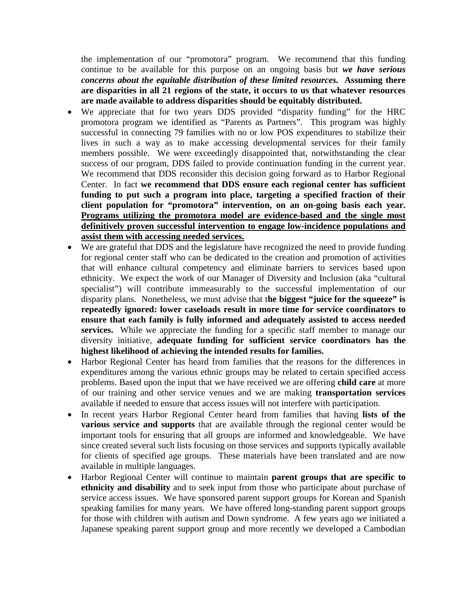the implementation of our "promotora" program. We recommend that this funding continue to be available for this purpose on an ongoing basis but *we have serious concerns about the equitable distribution of these limited resources.* **Assuming there are disparities in all 21 regions of the state, it occurs to us that whatever resources are made available to address disparities should be equitably distributed.**

- We appreciate that for two years DDS provided "disparity funding" for the HRC promotora program we identified as "Parents as Partners". This program was highly successful in connecting 79 families with no or low POS expenditures to stabilize their lives in such a way as to make accessing developmental services for their family members possible. We were exceedingly disappointed that, notwithstanding the clear success of our program, DDS failed to provide continuation funding in the current year. We recommend that DDS reconsider this decision going forward as to Harbor Regional Center. In fact **we recommend that DDS ensure each regional center has sufficient funding to put such a program into place, targeting a specified fraction of their client population for "promotora" intervention, on an on-going basis each year. Programs utilizing the promotora model are evidence-based and the single most definitively proven successful intervention to engage low-incidence populations and assist them with accessing needed services.**
- We are grateful that DDS and the legislature have recognized the need to provide funding for regional center staff who can be dedicated to the creation and promotion of activities that will enhance cultural competency and eliminate barriers to services based upon ethnicity. We expect the work of our Manager of Diversity and Inclusion (aka "cultural specialist") will contribute immeasurably to the successful implementation of our disparity plans. Nonetheless, we must advise that t**he biggest "juice for the squeeze" is repeatedly ignored: lower caseloads result in more time for service coordinators to ensure that each family is fully informed and adequately assisted to access needed services.** While we appreciate the funding for a specific staff member to manage our diversity initiative, **adequate funding for sufficient service coordinators has the highest likelihood of achieving the intended results for families.**
- Harbor Regional Center has heard from families that the reasons for the differences in expenditures among the various ethnic groups may be related to certain specified access problems. Based upon the input that we have received we are offering **child care** at more of our training and other service venues and we are making **transportation services**  available if needed to ensure that access issues will not interfere with participation.
- In recent years Harbor Regional Center heard from families that having **lists of the various service and supports** that are available through the regional center would be important tools for ensuring that all groups are informed and knowledgeable. We have since created several such lists focusing on those services and supports typically available for clients of specified age groups. These materials have been translated and are now available in multiple languages.
- Harbor Regional Center will continue to maintain **parent groups that are specific to ethnicity and disability** and to seek input from those who participate about purchase of service access issues. We have sponsored parent support groups for Korean and Spanish speaking families for many years. We have offered long-standing parent support groups for those with children with autism and Down syndrome. A few years ago we initiated a Japanese speaking parent support group and more recently we developed a Cambodian